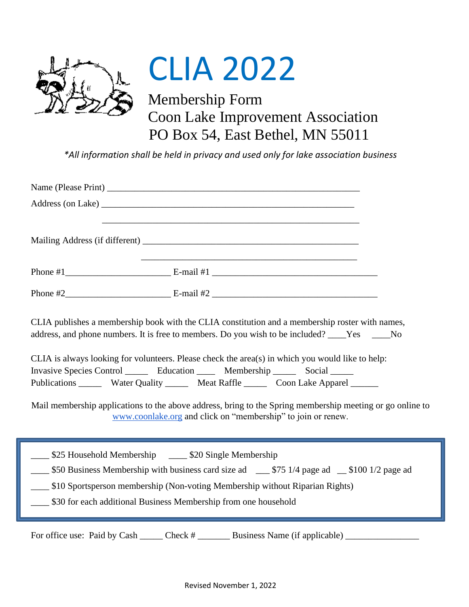

## CLIA 2022

## Membership Form Coon Lake Improvement Association PO Box 54, East Bethel, MN 55011

*\*All information shall be held in privacy and used only for lake association business*

| CLIA publishes a membership book with the CLIA constitution and a membership roster with names,<br>address, and phone numbers. It is free to members. Do you wish to be included? ____Yes ____No                                                                                           |                                                                                    |  |  |
|--------------------------------------------------------------------------------------------------------------------------------------------------------------------------------------------------------------------------------------------------------------------------------------------|------------------------------------------------------------------------------------|--|--|
| CLIA is always looking for volunteers. Please check the area(s) in which you would like to help:<br>Invasive Species Control ________ Education ________ Membership _________ Social ______<br>Publications ________ Water Quality ________ Meat Raffle ________ Coon Lake Apparel _______ |                                                                                    |  |  |
| Mail membership applications to the above address, bring to the Spring membership meeting or go online to<br>www.coonlake.org and click on "membership" to join or renew.                                                                                                                  |                                                                                    |  |  |
|                                                                                                                                                                                                                                                                                            | _____ \$25 Household Membership ______ \$20 Single Membership                      |  |  |
|                                                                                                                                                                                                                                                                                            | _____ \$10 Sportsperson membership (Non-voting Membership without Riparian Rights) |  |  |
| _____ \$30 for each additional Business Membership from one household                                                                                                                                                                                                                      |                                                                                    |  |  |
| For office use: Paid by Cash                                                                                                                                                                                                                                                               | Business Name (if applicable)<br>Check #                                           |  |  |

Revised November 1, 2022